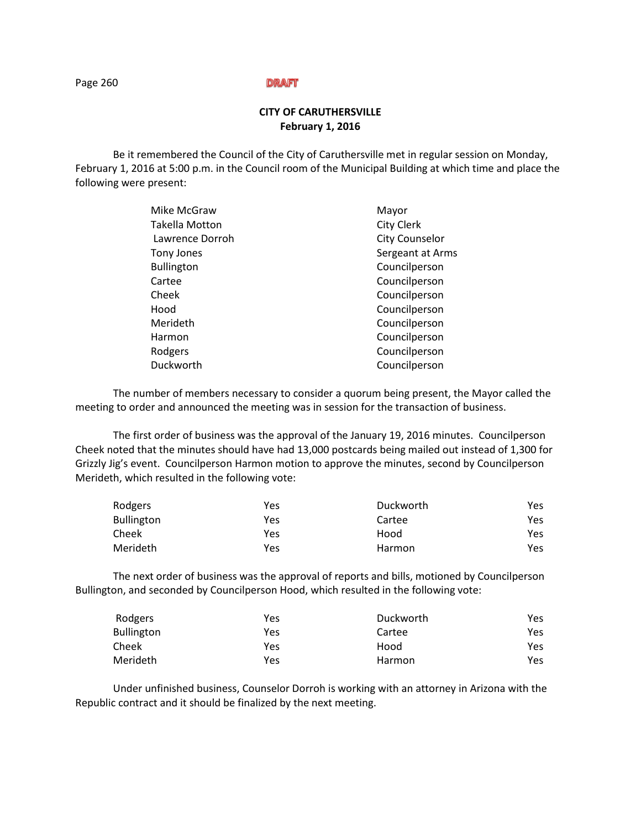# **CITY OF CARUTHERSVILLE February 1, 2016**

Be it remembered the Council of the City of Caruthersville met in regular session on Monday, February 1, 2016 at 5:00 p.m. in the Council room of the Municipal Building at which time and place the following were present:

| Mayor                 |
|-----------------------|
| <b>City Clerk</b>     |
| <b>City Counselor</b> |
| Sergeant at Arms      |
| Councilperson         |
| Councilperson         |
| Councilperson         |
| Councilperson         |
| Councilperson         |
| Councilperson         |
| Councilperson         |
| Councilperson         |
|                       |

The number of members necessary to consider a quorum being present, the Mayor called the meeting to order and announced the meeting was in session for the transaction of business.

The first order of business was the approval of the January 19, 2016 minutes. Councilperson Cheek noted that the minutes should have had 13,000 postcards being mailed out instead of 1,300 for Grizzly Jig's event. Councilperson Harmon motion to approve the minutes, second by Councilperson Merideth, which resulted in the following vote:

| Rodgers           | Yes | Duckworth | Yes. |
|-------------------|-----|-----------|------|
| <b>Bullington</b> | Yes | Cartee    | Yes. |
| Cheek             | Yes | Hood      | Yes. |
| Merideth          | Yes | Harmon    | Yes. |

The next order of business was the approval of reports and bills, motioned by Councilperson Bullington, and seconded by Councilperson Hood, which resulted in the following vote:

| Rodgers           | Yes | Duckworth | Yes. |
|-------------------|-----|-----------|------|
| <b>Bullington</b> | Yes | Cartee    | Yes. |
| Cheek             | Yes | Hood      | Yes. |
| Merideth          | Yes | Harmon    | Yes. |

Under unfinished business, Counselor Dorroh is working with an attorney in Arizona with the Republic contract and it should be finalized by the next meeting.

Page 260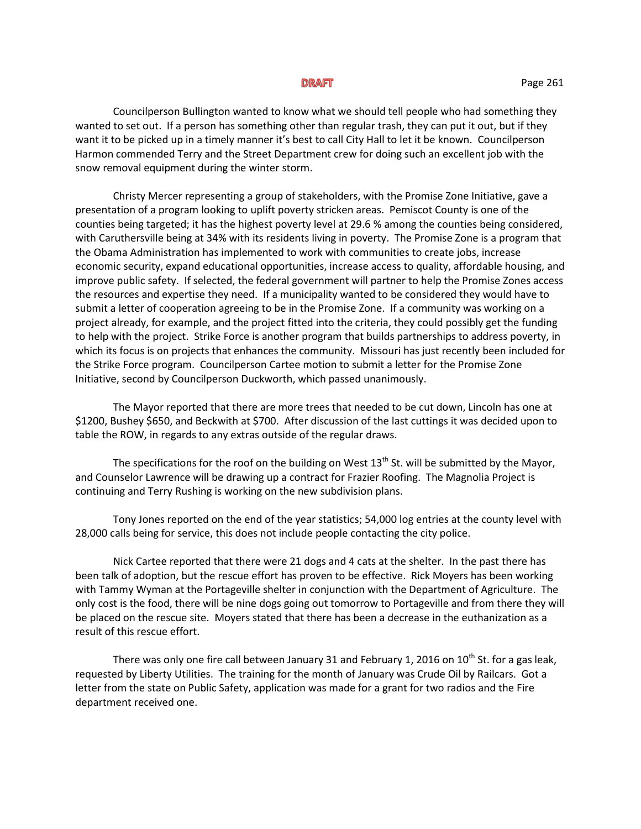Councilperson Bullington wanted to know what we should tell people who had something they wanted to set out. If a person has something other than regular trash, they can put it out, but if they want it to be picked up in a timely manner it's best to call City Hall to let it be known. Councilperson Harmon commended Terry and the Street Department crew for doing such an excellent job with the snow removal equipment during the winter storm.

Christy Mercer representing a group of stakeholders, with the Promise Zone Initiative, gave a presentation of a program looking to uplift poverty stricken areas. Pemiscot County is one of the counties being targeted; it has the highest poverty level at 29.6 % among the counties being considered, with Caruthersville being at 34% with its residents living in poverty. The Promise Zone is a program that the Obama Administration has implemented to work with communities to create jobs, increase economic security, expand educational opportunities, increase access to quality, affordable housing, and improve public safety. If selected, the federal government will partner to help the Promise Zones access the resources and expertise they need. If a municipality wanted to be considered they would have to submit a letter of cooperation agreeing to be in the Promise Zone. If a community was working on a project already, for example, and the project fitted into the criteria, they could possibly get the funding to help with the project. Strike Force is another program that builds partnerships to address poverty, in which its focus is on projects that enhances the community. Missouri has just recently been included for the Strike Force program. Councilperson Cartee motion to submit a letter for the Promise Zone Initiative, second by Councilperson Duckworth, which passed unanimously.

The Mayor reported that there are more trees that needed to be cut down, Lincoln has one at \$1200, Bushey \$650, and Beckwith at \$700. After discussion of the last cuttings it was decided upon to table the ROW, in regards to any extras outside of the regular draws.

The specifications for the roof on the building on West  $13<sup>th</sup>$  St. will be submitted by the Mayor, and Counselor Lawrence will be drawing up a contract for Frazier Roofing. The Magnolia Project is continuing and Terry Rushing is working on the new subdivision plans.

Tony Jones reported on the end of the year statistics; 54,000 log entries at the county level with 28,000 calls being for service, this does not include people contacting the city police.

Nick Cartee reported that there were 21 dogs and 4 cats at the shelter. In the past there has been talk of adoption, but the rescue effort has proven to be effective. Rick Moyers has been working with Tammy Wyman at the Portageville shelter in conjunction with the Department of Agriculture. The only cost is the food, there will be nine dogs going out tomorrow to Portageville and from there they will be placed on the rescue site. Moyers stated that there has been a decrease in the euthanization as a result of this rescue effort.

There was only one fire call between January 31 and February 1, 2016 on  $10^{th}$  St. for a gas leak, requested by Liberty Utilities. The training for the month of January was Crude Oil by Railcars. Got a letter from the state on Public Safety, application was made for a grant for two radios and the Fire department received one.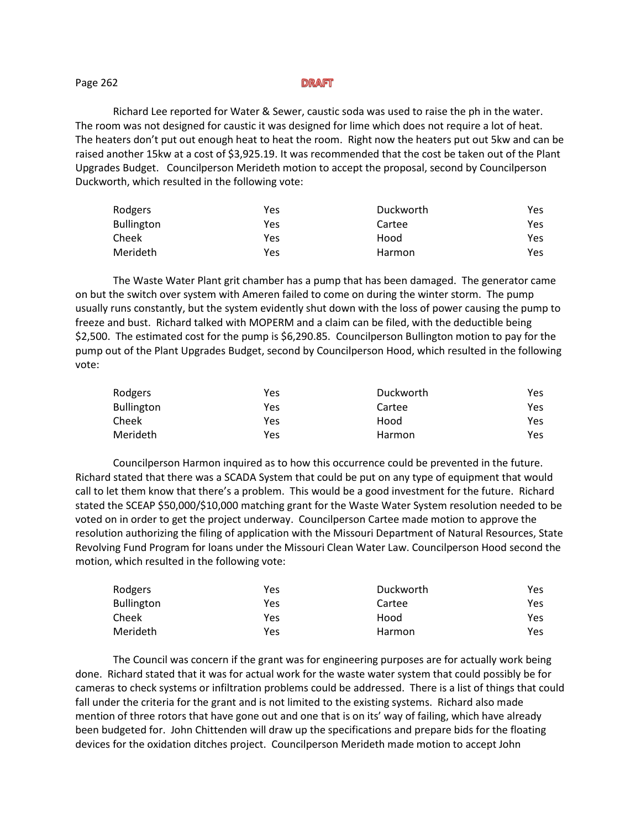## Page 262

Richard Lee reported for Water & Sewer, caustic soda was used to raise the ph in the water. The room was not designed for caustic it was designed for lime which does not require a lot of heat. The heaters don't put out enough heat to heat the room. Right now the heaters put out 5kw and can be raised another 15kw at a cost of \$3,925.19. It was recommended that the cost be taken out of the Plant Upgrades Budget. Councilperson Merideth motion to accept the proposal, second by Councilperson Duckworth, which resulted in the following vote:

| Rodgers           | Yes | Duckworth | Yes |
|-------------------|-----|-----------|-----|
| <b>Bullington</b> | Yes | Cartee    | Yes |
| Cheek             | Yes | Hood      | Yes |
| Merideth          | Yes | Harmon    | Yes |

The Waste Water Plant grit chamber has a pump that has been damaged. The generator came on but the switch over system with Ameren failed to come on during the winter storm. The pump usually runs constantly, but the system evidently shut down with the loss of power causing the pump to freeze and bust. Richard talked with MOPERM and a claim can be filed, with the deductible being \$2,500. The estimated cost for the pump is \$6,290.85. Councilperson Bullington motion to pay for the pump out of the Plant Upgrades Budget, second by Councilperson Hood, which resulted in the following vote:

| Rodgers           | Yes | Duckworth | Yes |
|-------------------|-----|-----------|-----|
| <b>Bullington</b> | Yes | Cartee    | Yes |
| Cheek             | Yes | Hood      | Yes |
| Merideth          | Yes | Harmon    | Yes |

Councilperson Harmon inquired as to how this occurrence could be prevented in the future. Richard stated that there was a SCADA System that could be put on any type of equipment that would call to let them know that there's a problem. This would be a good investment for the future. Richard stated the SCEAP \$50,000/\$10,000 matching grant for the Waste Water System resolution needed to be voted on in order to get the project underway. Councilperson Cartee made motion to approve the resolution authorizing the filing of application with the Missouri Department of Natural Resources, State Revolving Fund Program for loans under the Missouri Clean Water Law. Councilperson Hood second the motion, which resulted in the following vote:

| Rodgers           | Yes | Duckworth | Yes |
|-------------------|-----|-----------|-----|
| <b>Bullington</b> | Yes | Cartee    | Yes |
| Cheek             | Yes | Hood      | Yes |
| Merideth          | Yes | Harmon    | Yes |

The Council was concern if the grant was for engineering purposes are for actually work being done. Richard stated that it was for actual work for the waste water system that could possibly be for cameras to check systems or infiltration problems could be addressed. There is a list of things that could fall under the criteria for the grant and is not limited to the existing systems. Richard also made mention of three rotors that have gone out and one that is on its' way of failing, which have already been budgeted for. John Chittenden will draw up the specifications and prepare bids for the floating devices for the oxidation ditches project. Councilperson Merideth made motion to accept John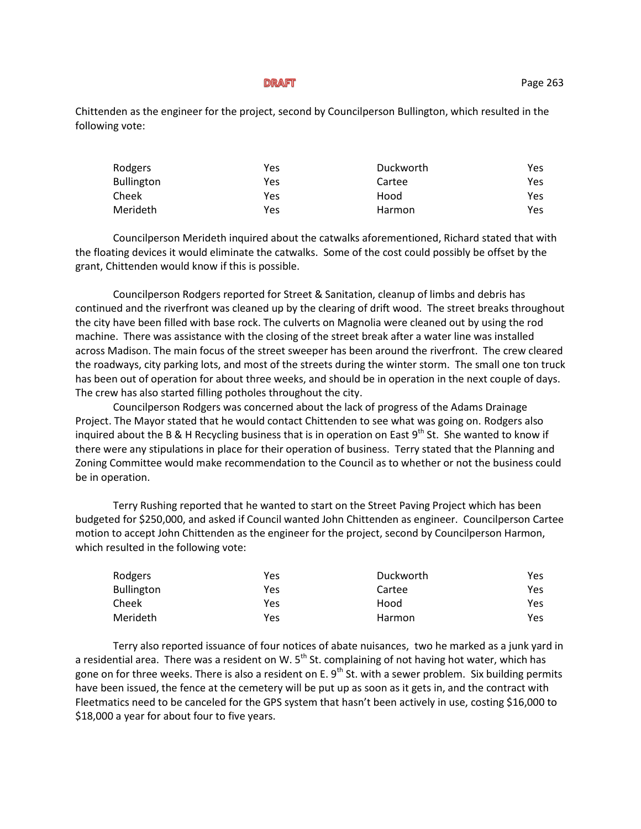Chittenden as the engineer for the project, second by Councilperson Bullington, which resulted in the following vote:

| Rodgers           | Yes | Duckworth | Yes |
|-------------------|-----|-----------|-----|
| <b>Bullington</b> | Yes | Cartee    | Yes |
| Cheek             | Yes | Hood      | Yes |
| Merideth          | Yes | Harmon    | Yes |

Councilperson Merideth inquired about the catwalks aforementioned, Richard stated that with the floating devices it would eliminate the catwalks. Some of the cost could possibly be offset by the grant, Chittenden would know if this is possible.

Councilperson Rodgers reported for Street & Sanitation, cleanup of limbs and debris has continued and the riverfront was cleaned up by the clearing of drift wood. The street breaks throughout the city have been filled with base rock. The culverts on Magnolia were cleaned out by using the rod machine. There was assistance with the closing of the street break after a water line was installed across Madison. The main focus of the street sweeper has been around the riverfront. The crew cleared the roadways, city parking lots, and most of the streets during the winter storm. The small one ton truck has been out of operation for about three weeks, and should be in operation in the next couple of days. The crew has also started filling potholes throughout the city.

Councilperson Rodgers was concerned about the lack of progress of the Adams Drainage Project. The Mayor stated that he would contact Chittenden to see what was going on. Rodgers also inquired about the B & H Recycling business that is in operation on East  $9^{th}$  St. She wanted to know if there were any stipulations in place for their operation of business. Terry stated that the Planning and Zoning Committee would make recommendation to the Council as to whether or not the business could be in operation.

Terry Rushing reported that he wanted to start on the Street Paving Project which has been budgeted for \$250,000, and asked if Council wanted John Chittenden as engineer. Councilperson Cartee motion to accept John Chittenden as the engineer for the project, second by Councilperson Harmon, which resulted in the following vote:

| Rodgers           | Yes | Duckworth     | Yes |
|-------------------|-----|---------------|-----|
| <b>Bullington</b> | Yes | Cartee        | Yes |
| Cheek             | Yes | Hood          | Yes |
| Merideth          | Yes | <b>Harmon</b> | Yes |

Terry also reported issuance of four notices of abate nuisances, two he marked as a junk yard in a residential area. There was a resident on W.  $5<sup>th</sup>$  St. complaining of not having hot water, which has gone on for three weeks. There is also a resident on E.  $9<sup>th</sup>$  St. with a sewer problem. Six building permits have been issued, the fence at the cemetery will be put up as soon as it gets in, and the contract with Fleetmatics need to be canceled for the GPS system that hasn't been actively in use, costing \$16,000 to \$18,000 a year for about four to five years.